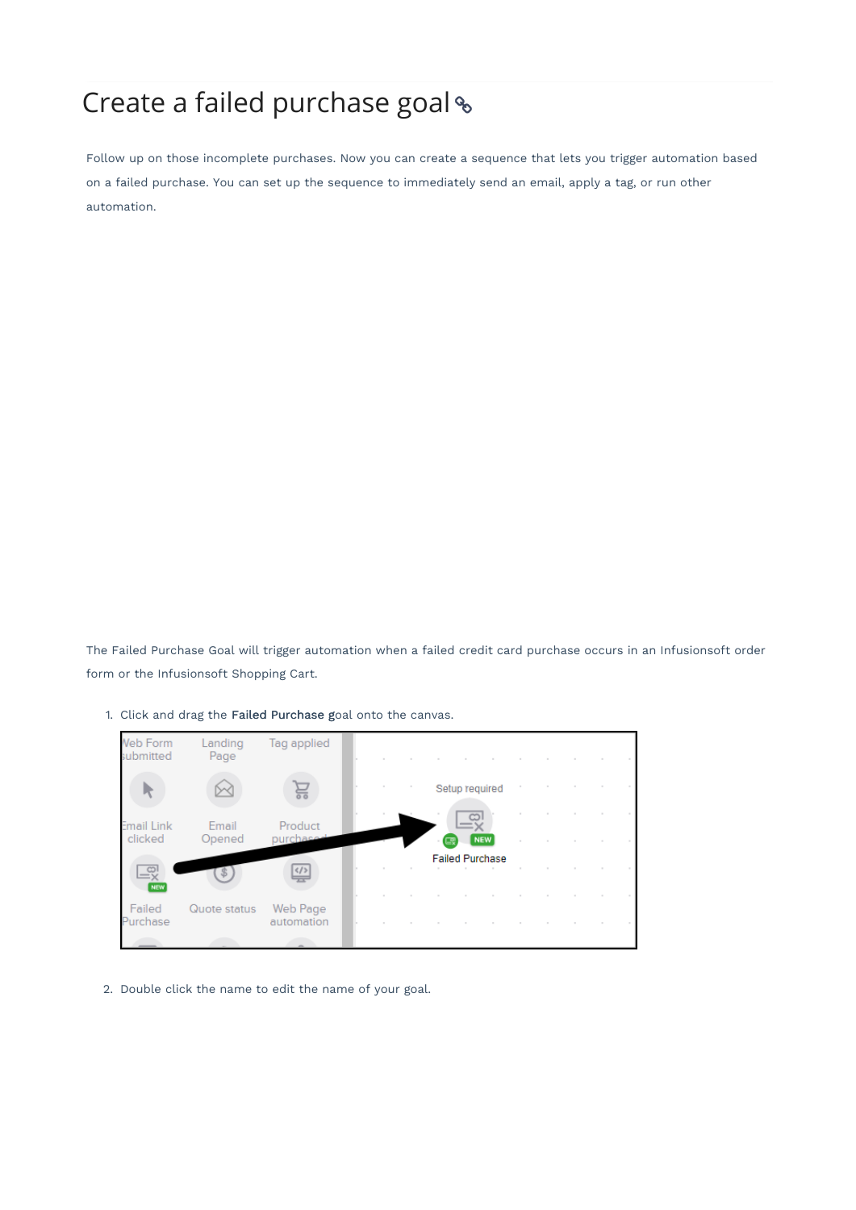## Create a failed purchase goal

Follow up on those incomplete purchases. Now you can create a sequence that lets you trigger automation based on a failed purchase. You can set up the sequence to immediately send an email, apply a tag, or run other automation.

The Failed Purchase Goal will trigger automation when a failed credit card purchase occurs in an Infusionsoft order form or the Infusionsoft Shopping Cart.

1. Click and drag the Failed Purchase goal onto the canvas.



2. Double click the name to edit the name of your goal.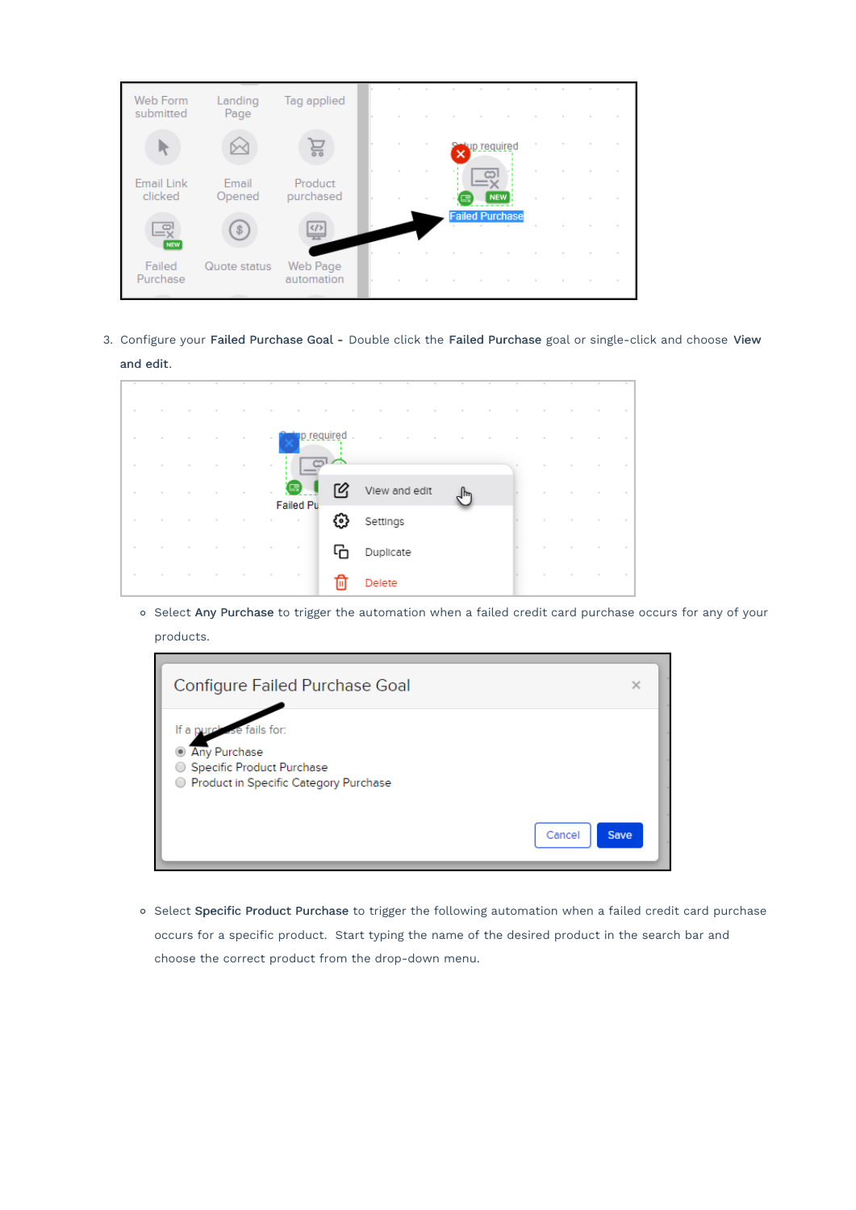| Web Form<br>submitted        | Landing<br>Page | Tag applied            |  |        |              |                        |  |                  |  |
|------------------------------|-----------------|------------------------|--|--------|--------------|------------------------|--|------------------|--|
|                              |                 |                        |  |        | tup required |                        |  |                  |  |
| <b>Email Link</b><br>clicked | Email<br>Opened | Product<br>purchased   |  | $\sim$ |              | <b>NEW</b>             |  |                  |  |
| LŖ<br><b>NEV</b>             | S.              | $\langle$ />           |  |        |              | <b>Failed Purchase</b> |  |                  |  |
| Failed<br>Purchase           | Quote status    | Web Page<br>automation |  |        |              |                        |  | $\sim$<br>$\sim$ |  |
|                              |                 |                        |  |        |              |                        |  |                  |  |

3. Configure your Failed Purchase Goal - Double click the Failed Purchase goal or single-click and choose View and edit.

| $\sim$ |        |  |        | $\sim$ |                         | p required. |        |               |     |  |  |        |  |
|--------|--------|--|--------|--------|-------------------------|-------------|--------|---------------|-----|--|--|--------|--|
| $\sim$ |        |  |        |        | $\frac{1}{2}$           |             |        |               |     |  |  |        |  |
| $\sim$ |        |  |        | $\sim$ | <b>g</b> 1<br>Failed Pu | 囵           |        | View and edit | ∫հղ |  |  |        |  |
| $\sim$ | $\sim$ |  | $\sim$ |        |                         | ۞           |        | Settings      |     |  |  | $\sim$ |  |
| $\sim$ |        |  |        |        |                         |             |        | Duplicate     |     |  |  |        |  |
| $\sim$ |        |  |        |        | $\sim$                  |             | Delete |               |     |  |  |        |  |

o Select Any Purchase to trigger the automation when a failed credit card purchase occurs for any of your products.



o Select Specific Product Purchase to trigger the following automation when a failed credit card purchase occurs for a specific product. Start typing the name of the desired product in the search bar and choose the correct product from the drop-down menu.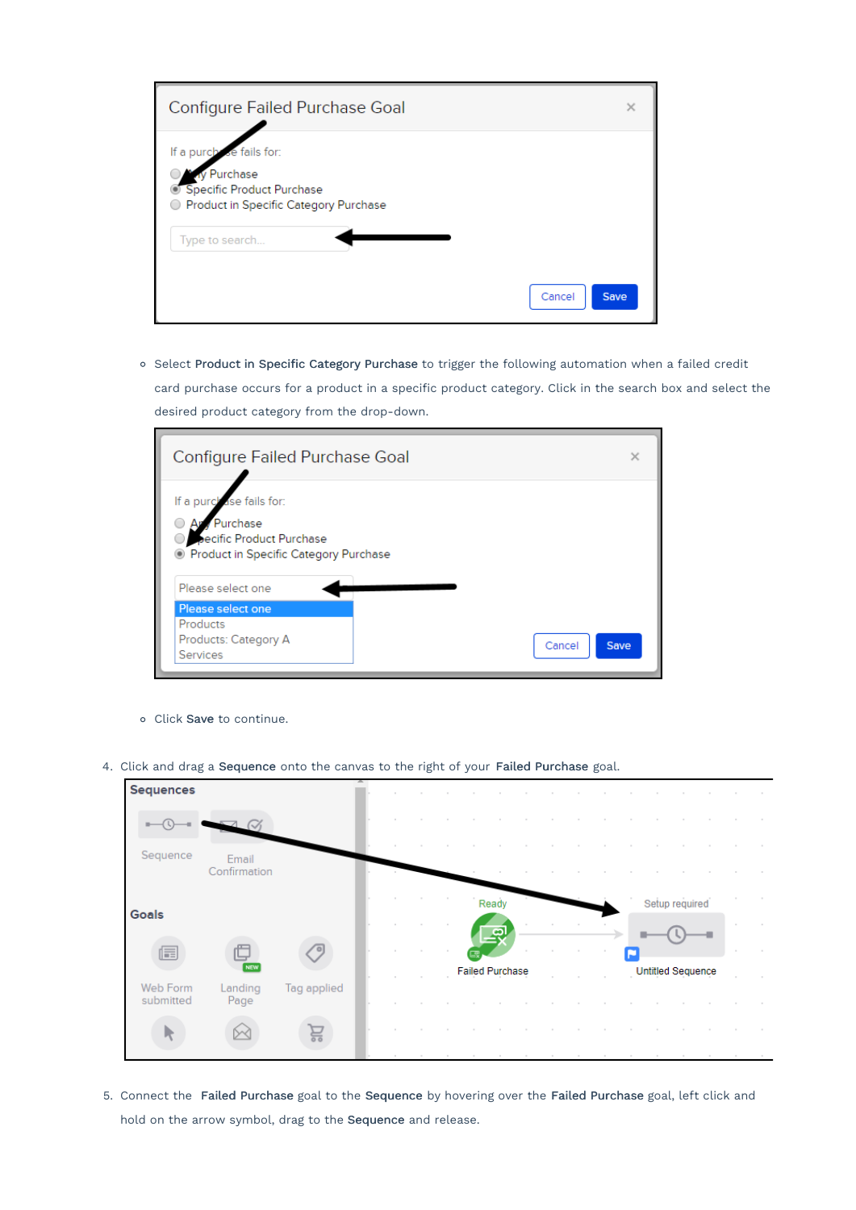| Configure Failed Purchase Goal                                                                                | $\times$    |
|---------------------------------------------------------------------------------------------------------------|-------------|
| se fails for:<br>If a purch<br>Purchase<br>Specific Product Purchase<br>Product in Specific Category Purchase |             |
| Type to search                                                                                                |             |
| Cancel                                                                                                        | <b>Save</b> |

o Select Product in Specific Category Purchase to trigger the following automation when a failed credit card purchase occurs for a product in a specific product category. Click in the search box and select the desired product category from the drop-down.

| Configure Failed Purchase Goal                                                                                                | $\times$ |
|-------------------------------------------------------------------------------------------------------------------------------|----------|
| ase fails for:<br>If a purch<br>Purchase<br>ecific Product Purchase<br><b>Example 2 Product in Specific Category Purchase</b> |          |
| Please select one                                                                                                             |          |
| Please select one                                                                                                             |          |
| Products                                                                                                                      |          |
| Products: Category A<br>Cancel                                                                                                | Save     |
| <b>Services</b>                                                                                                               |          |

- Click Save to continue.
- 4. Click and drag a Sequence onto the canvas to the right of your Failed Purchase goal.



5. Connect the Failed Purchase goal to the Sequence by hovering over the Failed Purchase goal, left click and hold on the arrow symbol, drag to the Sequence and release.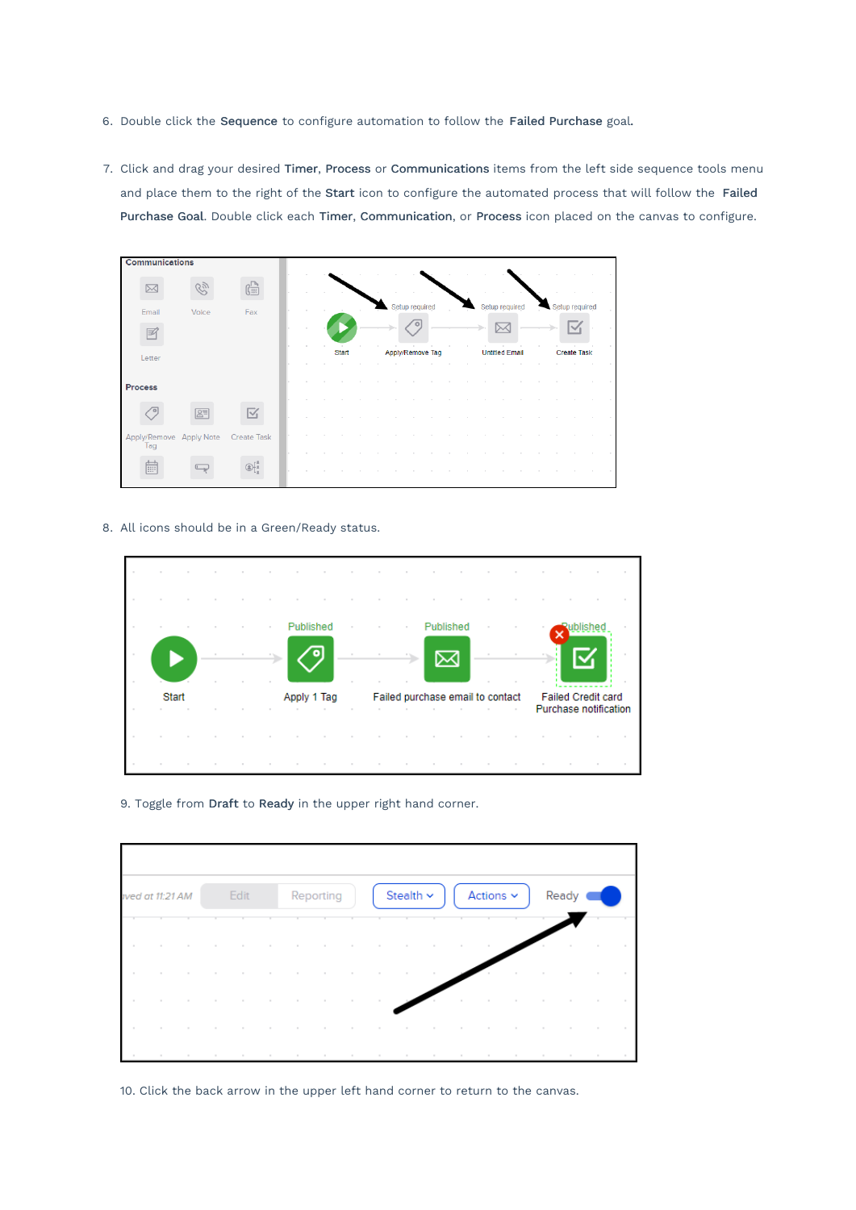- 6. Double click the Sequence to configure automation to follow the Failed Purchase goal.
- 7. Click and drag your desired Timer, Process or Communications items from the left side sequence tools menu and place them to the right of the Start icon to configure the automated process that will follow the Failed Purchase Goal. Double click each Timer, Communication, or Process icon placed on the canvas to configure.

| <b>Communications</b>                      |              |  |              |  |                  |  |                       |                |  |                    |  |
|--------------------------------------------|--------------|--|--------------|--|------------------|--|-----------------------|----------------|--|--------------------|--|
|                                            |              |  |              |  |                  |  |                       |                |  |                    |  |
|                                            | 【語           |  |              |  |                  |  |                       |                |  |                    |  |
| Voice<br>Email                             | Fax          |  |              |  | Setup required   |  |                       | Setup required |  | Setup required     |  |
| E                                          |              |  |              |  |                  |  |                       |                |  |                    |  |
| Letter                                     |              |  | <b>Start</b> |  | Apply/Remove Tag |  | <b>Untitled Email</b> |                |  | <b>Create Task</b> |  |
|                                            |              |  |              |  |                  |  |                       |                |  |                    |  |
| Process                                    |              |  |              |  |                  |  |                       |                |  |                    |  |
| $R =$                                      | $\checkmark$ |  |              |  |                  |  |                       |                |  |                    |  |
| Apply/Remove Apply Note Create Task<br>Tag |              |  |              |  |                  |  |                       |                |  |                    |  |
| 匾                                          |              |  |              |  |                  |  |                       |                |  |                    |  |

8. All icons should be in a Green/Ready status.



9. Toggle from Draft to Ready in the upper right hand corner.

|        | ived at 11:21 AM |        |        | Edit |        |        | Reporting           |                | Stealth ~                |        |                     | Actions $\sim$ |        | Ready |  |
|--------|------------------|--------|--------|------|--------|--------|---------------------|----------------|--------------------------|--------|---------------------|----------------|--------|-------|--|
|        |                  |        |        |      |        |        |                     |                |                          |        |                     |                |        |       |  |
| $\sim$ | $\sim$           | $\sim$ | $\sim$ |      | $\sim$ | $\sim$ | $\sim$              |                |                          |        | $\sim$              |                |        |       |  |
| $\sim$ |                  |        |        |      |        |        |                     |                | $\sim$                   |        |                     |                | $\sim$ |       |  |
| $\sim$ | $\sim$           | $\sim$ | $\sim$ |      |        |        |                     | $\sim$         |                          |        | $\sim$              |                |        |       |  |
| $\sim$ |                  |        |        |      | $\sim$ | $\sim$ | $\sim$              | <b>Burning</b> | the contract of the con- | $\sim$ |                     |                |        |       |  |
|        |                  |        |        |      |        |        | <b>State Street</b> |                |                          |        | <b>State Street</b> |                |        |       |  |

10. Click the back arrow in the upper left hand corner to return to the canvas.